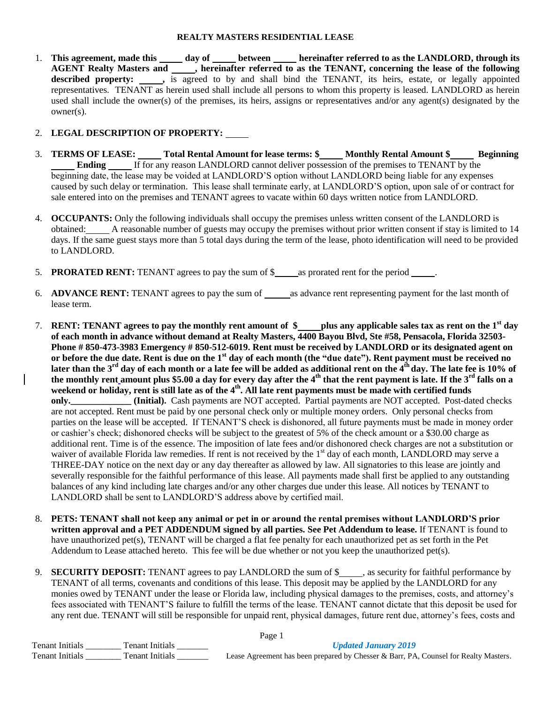#### **REALTY MASTERS RESIDENTIAL LEASE**

1. This agreement, made this \_\_\_\_\_ day of \_\_\_\_\_ between \_\_\_\_\_ hereinafter referred to as the LANDLORD, through its **AGENT Realty Masters and , hereinafter referred to as the TENANT, concerning the lease of the following**  described property:  $\qquad \qquad$ , is agreed to by and shall bind the TENANT, its heirs, estate, or legally appointed representatives. TENANT as herein used shall include all persons to whom this property is leased. LANDLORD as herein used shall include the owner(s) of the premises, its heirs, assigns or representatives and/or any agent(s) designated by the owner(s).

# 2. **LEGAL DESCRIPTION OF PROPERTY:**

- 3. **TERMS OF LEASE:** Total Rental Amount for lease terms: \$\_\_\_\_Monthly Rental Amount \$\_\_\_\_\_ Beginning **Ending** If for any reason LANDLORD cannot deliver possession of the premises to TENANT by the beginning date, the lease may be voided at LANDLORD'S option without LANDLORD being liable for any expenses caused by such delay or termination. This lease shall terminate early, at LANDLORD'S option, upon sale of or contract for sale entered into on the premises and TENANT agrees to vacate within 60 days written notice from LANDLORD.
- 4. **OCCUPANTS:** Only the following individuals shall occupy the premises unless written consent of the LANDLORD is obtained: A reasonable number of guests may occupy the premises without prior written consent if stay is limited to 14 days. If the same guest stays more than 5 total days during the term of the lease, photo identification will need to be provided to LANDLORD.
- 5. **PRORATED RENT:** TENANT agrees to pay the sum of \$ as prorated rent for the period .
- 6. **ADVANCE RENT:** TENANT agrees to pay the sum of as advance rent representing payment for the last month of lease term.
- 7. **RENT: TENANT agrees to pay the monthly rent amount of \$ plus any applicable sales tax as rent on the 1st day of each month in advance without demand at Realty Masters, 4400 Bayou Blvd, Ste #58, Pensacola, Florida 32503- Phone # 850-473-3983 Emergency # 850-512-6019. Rent must be received by LANDLORD or its designated agent on or before the due date. Rent is due on the 1st day of each month (the "due date"). Rent payment must be received no later than the 3rd day of each month or a late fee will be added as additional rent on the 4th day. The late fee is 10% of the monthly rent amount plus \$5.00 a day for every day after the 4th that the rent payment is late. If the 3rd falls on a weekend or holiday, rent is still late as of the 4th . All late rent payments must be made with certified funds only.\_\_\_\_\_\_\_\_\_\_\_\_\_ (Initial).** Cash payments are NOT accepted. Partial payments are NOT accepted. Post-dated checks are not accepted. Rent must be paid by one personal check only or multiple money orders. Only personal checks from parties on the lease will be accepted. If TENANT'S check is dishonored, all future payments must be made in money order or cashier's check; dishonored checks will be subject to the greatest of 5% of the check amount or a \$30.00 charge as additional rent. Time is of the essence. The imposition of late fees and/or dishonored check charges are not a substitution or waiver of available Florida law remedies. If rent is not received by the 1<sup>st</sup> day of each month, LANDLORD may serve a THREE-DAY notice on the next day or any day thereafter as allowed by law. All signatories to this lease are jointly and severally responsible for the faithful performance of this lease. All payments made shall first be applied to any outstanding balances of any kind including late charges and/or any other charges due under this lease. All notices by TENANT to LANDLORD shall be sent to LANDLORD'S address above by certified mail.
- 8. **PETS: TENANT shall not keep any animal or pet in or around the rental premises without LANDLORD'S prior written approval and a PET ADDENDUM signed by all parties. See Pet Addendum to lease.** If TENANT is found to have unauthorized pet(s), TENANT will be charged a flat fee penalty for each unauthorized pet as set forth in the Pet Addendum to Lease attached hereto. This fee will be due whether or not you keep the unauthorized pet(s).
- 9. **SECURITY DEPOSIT:** TENANT agrees to pay LANDLORD the sum of \$\_\_\_\_\_, as security for faithful performance by TENANT of all terms, covenants and conditions of this lease. This deposit may be applied by the LANDLORD for any monies owed by TENANT under the lease or Florida law, including physical damages to the premises, costs, and attorney's fees associated with TENANT'S failure to fulfill the terms of the lease. TENANT cannot dictate that this deposit be used for any rent due. TENANT will still be responsible for unpaid rent, physical damages, future rent due, attorney's fees, costs and

| Page $\overline{1}$    |                        |                                                                                      |  |
|------------------------|------------------------|--------------------------------------------------------------------------------------|--|
| <b>Tenant Initials</b> | <b>Tenant Initials</b> | <b>Updated January 2019</b>                                                          |  |
| <b>Tenant Initials</b> | Fenant Initials        | Lease Agreement has been prepared by Chesser & Barr, PA, Counsel for Realty Masters. |  |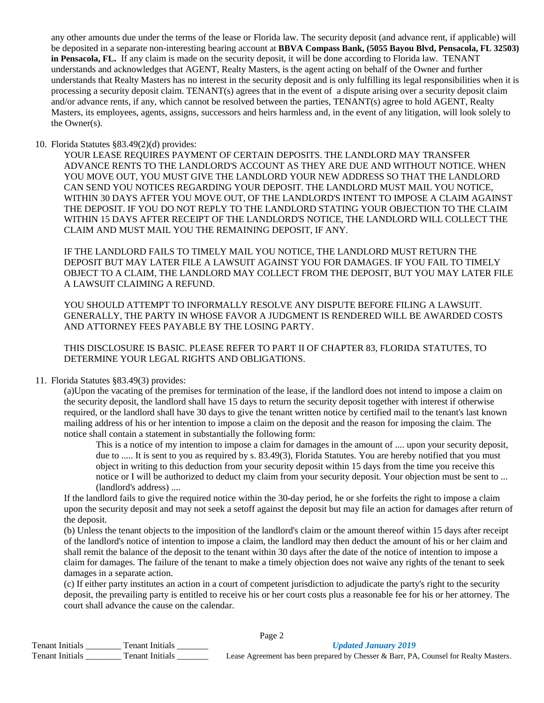any other amounts due under the terms of the lease or Florida law. The security deposit (and advance rent, if applicable) will be deposited in a separate non-interesting bearing account at **BBVA Compass Bank, (5055 Bayou Blvd, Pensacola, FL 32503) in Pensacola, FL.** If any claim is made on the security deposit, it will be done according to Florida law. TENANT understands and acknowledges that AGENT, Realty Masters, is the agent acting on behalf of the Owner and further understands that Realty Masters has no interest in the security deposit and is only fulfilling its legal responsibilities when it is processing a security deposit claim. TENANT(s) agrees that in the event of a dispute arising over a security deposit claim and/or advance rents, if any, which cannot be resolved between the parties, TENANT(s) agree to hold AGENT, Realty Masters, its employees, agents, assigns, successors and heirs harmless and, in the event of any litigation, will look solely to the Owner(s).

#### 10. Florida Statutes §83.49(2)(d) provides:

YOUR LEASE REQUIRES PAYMENT OF CERTAIN DEPOSITS. THE LANDLORD MAY TRANSFER ADVANCE RENTS TO THE LANDLORD'S ACCOUNT AS THEY ARE DUE AND WITHOUT NOTICE. WHEN YOU MOVE OUT, YOU MUST GIVE THE LANDLORD YOUR NEW ADDRESS SO THAT THE LANDLORD CAN SEND YOU NOTICES REGARDING YOUR DEPOSIT. THE LANDLORD MUST MAIL YOU NOTICE, WITHIN 30 DAYS AFTER YOU MOVE OUT, OF THE LANDLORD'S INTENT TO IMPOSE A CLAIM AGAINST THE DEPOSIT. IF YOU DO NOT REPLY TO THE LANDLORD STATING YOUR OBJECTION TO THE CLAIM WITHIN 15 DAYS AFTER RECEIPT OF THE LANDLORD'S NOTICE, THE LANDLORD WILL COLLECT THE CLAIM AND MUST MAIL YOU THE REMAINING DEPOSIT, IF ANY.

IF THE LANDLORD FAILS TO TIMELY MAIL YOU NOTICE, THE LANDLORD MUST RETURN THE DEPOSIT BUT MAY LATER FILE A LAWSUIT AGAINST YOU FOR DAMAGES. IF YOU FAIL TO TIMELY OBJECT TO A CLAIM, THE LANDLORD MAY COLLECT FROM THE DEPOSIT, BUT YOU MAY LATER FILE A LAWSUIT CLAIMING A REFUND.

YOU SHOULD ATTEMPT TO INFORMALLY RESOLVE ANY DISPUTE BEFORE FILING A LAWSUIT. GENERALLY, THE PARTY IN WHOSE FAVOR A JUDGMENT IS RENDERED WILL BE AWARDED COSTS AND ATTORNEY FEES PAYABLE BY THE LOSING PARTY.

THIS DISCLOSURE IS BASIC. PLEASE REFER TO PART II OF CHAPTER 83, FLORIDA STATUTES, TO DETERMINE YOUR LEGAL RIGHTS AND OBLIGATIONS.

## 11. Florida Statutes §83.49(3) provides:

(a)Upon the vacating of the premises for termination of the lease, if the landlord does not intend to impose a claim on the security deposit, the landlord shall have 15 days to return the security deposit together with interest if otherwise required, or the landlord shall have 30 days to give the tenant written notice by certified mail to the tenant's last known mailing address of his or her intention to impose a claim on the deposit and the reason for imposing the claim. The notice shall contain a statement in substantially the following form:

This is a notice of my intention to impose a claim for damages in the amount of .... upon your security deposit, due to ..... It is sent to you as required by s. 83.49(3), Florida Statutes. You are hereby notified that you must object in writing to this deduction from your security deposit within 15 days from the time you receive this notice or I will be authorized to deduct my claim from your security deposit. Your objection must be sent to ... (landlord's address) ....

If the landlord fails to give the required notice within the 30-day period, he or she forfeits the right to impose a claim upon the security deposit and may not seek a setoff against the deposit but may file an action for damages after return of the deposit.

(b) Unless the tenant objects to the imposition of the landlord's claim or the amount thereof within 15 days after receipt of the landlord's notice of intention to impose a claim, the landlord may then deduct the amount of his or her claim and shall remit the balance of the deposit to the tenant within 30 days after the date of the notice of intention to impose a claim for damages. The failure of the tenant to make a timely objection does not waive any rights of the tenant to seek damages in a separate action.

(c) If either party institutes an action in a court of competent jurisdiction to adjudicate the party's right to the security deposit, the prevailing party is entitled to receive his or her court costs plus a reasonable fee for his or her attorney. The court shall advance the cause on the calendar.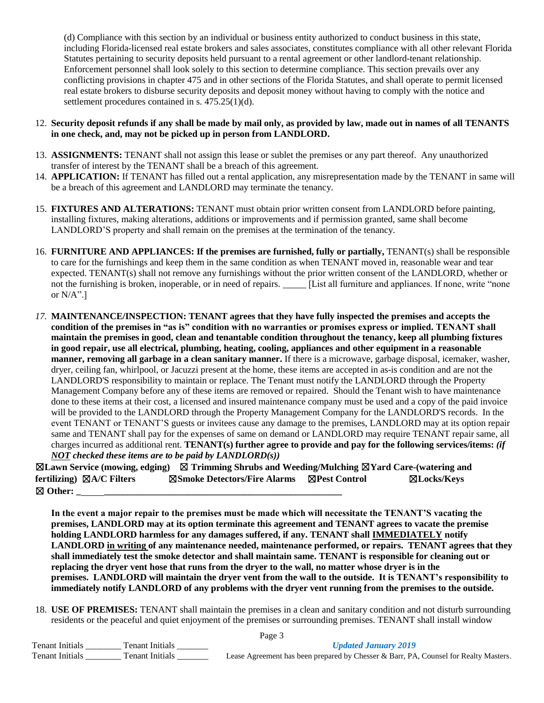(d) Compliance with this section by an individual or business entity authorized to conduct business in this state, including Florida-licensed real estate brokers and sales associates, constitutes compliance with all other relevant Florida Statutes pertaining to security deposits held pursuant to a rental agreement or other landlord-tenant relationship. Enforcement personnel shall look solely to this section to determine compliance. This section prevails over any conflicting provisions in chapter 475 and in other sections of the Florida Statutes, and shall operate to permit licensed real estate brokers to disburse security deposits and deposit money without having to comply with the notice and settlement procedures contained in s. 475.25(1)(d).

### 12. **Security deposit refunds if any shall be made by mail only, as provided by law, made out in names of all TENANTS in one check, and, may not be picked up in person from LANDLORD.**

- 13. **ASSIGNMENTS:** TENANT shall not assign this lease or sublet the premises or any part thereof. Any unauthorized transfer of interest by the TENANT shall be a breach of this agreement.
- 14. **APPLICATION:** If TENANT has filled out a rental application, any misrepresentation made by the TENANT in same will be a breach of this agreement and LANDLORD may terminate the tenancy.
- 15. **FIXTURES AND ALTERATIONS:** TENANT must obtain prior written consent from LANDLORD before painting, installing fixtures, making alterations, additions or improvements and if permission granted, same shall become LANDLORD'S property and shall remain on the premises at the termination of the tenancy.
- 16. **FURNITURE AND APPLIANCES: If the premises are furnished, fully or partially,** TENANT(s) shall be responsible to care for the furnishings and keep them in the same condition as when TENANT moved in, reasonable wear and tear expected. TENANT(s) shall not remove any furnishings without the prior written consent of the LANDLORD, whether or not the furnishing is broken, inoperable, or in need of repairs. [List all furniture and appliances. If none, write "none or N/A".]
- *17.* **MAINTENANCE/INSPECTION: TENANT agrees that they have fully inspected the premises and accepts the condition of the premises in "as is" condition with no warranties or promises express or implied. TENANT shall maintain the premises in good, clean and tenantable condition throughout the tenancy, keep all plumbing fixtures in good repair, use all electrical, plumbing, heating, cooling, appliances and other equipment in a reasonable manner, removing all garbage in a clean sanitary manner.** If there is a microwave, garbage disposal, icemaker, washer, dryer, ceiling fan, whirlpool, or Jacuzzi present at the home, these items are accepted in as-is condition and are not the LANDLORD'S responsibility to maintain or replace. The Tenant must notify the LANDLORD through the Property Management Company before any of these items are removed or repaired. Should the Tenant wish to have maintenance done to these items at their cost, a licensed and insured maintenance company must be used and a copy of the paid invoice will be provided to the LANDLORD through the Property Management Company for the LANDLORD'S records. In the event TENANT or TENANT'S guests or invitees cause any damage to the premises, LANDLORD may at its option repair same and TENANT shall pay for the expenses of same on demand or LANDLORD may require TENANT repair same, all charges incurred as additional rent. **TENANT(s) further agree to provide and pay for the following services/items:** *(if NOT checked these items are to be paid by LANDLORD(s))*

☒**Lawn Service (mowing, edging)** ☒ **Trimming Shrubs and Weeding/Mulching** ☒**Yard Care-(watering and fertilizing)** ☒**A/C Filters** ☒**Smoke Detectors/Fire Alarms** ☒**Pest Control** ☒**Locks/Keys**  ☒ **Other: \_ \_\_\_\_\_\_\_\_\_\_\_\_\_\_\_\_\_\_\_\_\_\_\_\_\_\_\_\_\_\_\_\_\_\_\_\_\_\_\_\_\_\_\_\_\_\_\_\_\_\_\_**

**In the event a major repair to the premises must be made which will necessitate the TENANT'S vacating the premises, LANDLORD may at its option terminate this agreement and TENANT agrees to vacate the premise holding LANDLORD harmless for any damages suffered, if any. TENANT shall IMMEDIATELY notify LANDLORD in writing of any maintenance needed, maintenance performed, or repairs. TENANT agrees that they shall immediately test the smoke detector and shall maintain same. TENANT is responsible for cleaning out or replacing the dryer vent hose that runs from the dryer to the wall, no matter whose dryer is in the premises. LANDLORD will maintain the dryer vent from the wall to the outside. It is TENANT's responsibility to immediately notify LANDLORD of any problems with the dryer vent running from the premises to the outside.**

18. **USE OF PREMISES:** TENANT shall maintain the premises in a clean and sanitary condition and not disturb surrounding residents or the peaceful and quiet enjoyment of the premises or surrounding premises. TENANT shall install window

|                                           | Page 3                                                                               |
|-------------------------------------------|--------------------------------------------------------------------------------------|
| Tenant Initials<br><b>Tenant Initials</b> | <b>Updated January 2019</b>                                                          |
| Tenant Initials<br><b>Fenant Initials</b> | Lease Agreement has been prepared by Chesser & Barr, PA, Counsel for Realty Masters. |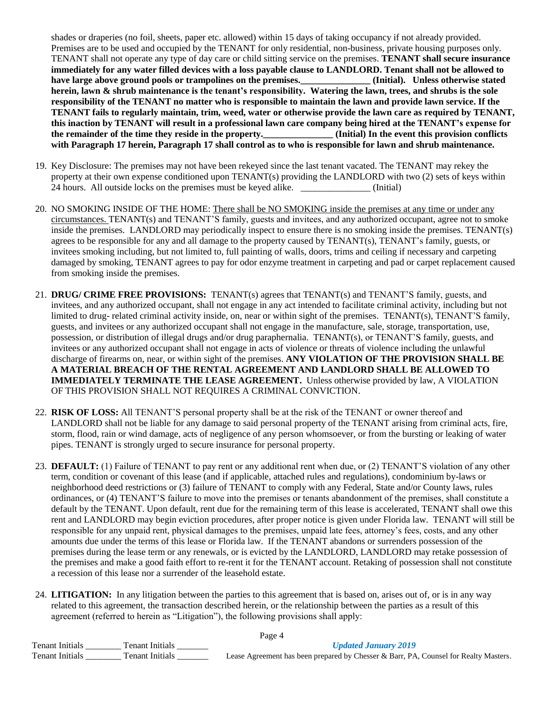shades or draperies (no foil, sheets, paper etc. allowed) within 15 days of taking occupancy if not already provided. Premises are to be used and occupied by the TENANT for only residential, non-business, private housing purposes only. TENANT shall not operate any type of day care or child sitting service on the premises. **TENANT shall secure insurance immediately for any water filled devices with a loss payable clause to LANDLORD. Tenant shall not be allowed to have large above ground pools or trampolines on the premises.\_\_\_\_\_\_\_\_\_\_\_\_\_\_\_ (Initial). Unless otherwise stated herein, lawn & shrub maintenance is the tenant's responsibility. Watering the lawn, trees, and shrubs is the sole responsibility of the TENANT no matter who is responsible to maintain the lawn and provide lawn service. If the TENANT fails to regularly maintain, trim, weed, water or otherwise provide the lawn care as required by TENANT, this inaction by TENANT will result in a professional lawn care company being hired at the TENANT's expense for the remainder of the time they reside in the property.\_\_\_\_\_\_\_\_\_\_\_\_\_\_\_ (Initial) In the event this provision conflicts with Paragraph 17 herein, Paragraph 17 shall control as to who is responsible for lawn and shrub maintenance.** 

- 19. Key Disclosure: The premises may not have been rekeyed since the last tenant vacated. The TENANT may rekey the property at their own expense conditioned upon TENANT(s) providing the LANDLORD with two (2) sets of keys within 24 hours. All outside locks on the premises must be keyed alike. (Initial)
- 20. NO SMOKING INSIDE OF THE HOME: There shall be NO SMOKING inside the premises at any time or under any circumstances. TENANT(s) and TENANT'S family, guests and invitees, and any authorized occupant, agree not to smoke inside the premises. LANDLORD may periodically inspect to ensure there is no smoking inside the premises. TENANT(s) agrees to be responsible for any and all damage to the property caused by TENANT(s), TENANT's family, guests, or invitees smoking including, but not limited to, full painting of walls, doors, trims and ceiling if necessary and carpeting damaged by smoking, TENANT agrees to pay for odor enzyme treatment in carpeting and pad or carpet replacement caused from smoking inside the premises.
- 21. **DRUG/ CRIME FREE PROVISIONS:** TENANT(s) agrees that TENANT(s) and TENANT'S family, guests, and invitees, and any authorized occupant, shall not engage in any act intended to facilitate criminal activity, including but not limited to drug- related criminal activity inside, on, near or within sight of the premises. TENANT(s), TENANT'S family, guests, and invitees or any authorized occupant shall not engage in the manufacture, sale, storage, transportation, use, possession, or distribution of illegal drugs and/or drug paraphernalia. TENANT(s), or TENANT'S family, guests, and invitees or any authorized occupant shall not engage in acts of violence or threats of violence including the unlawful discharge of firearms on, near, or within sight of the premises. **ANY VIOLATION OF THE PROVISION SHALL BE A MATERIAL BREACH OF THE RENTAL AGREEMENT AND LANDLORD SHALL BE ALLOWED TO IMMEDIATELY TERMINATE THE LEASE AGREEMENT.** Unless otherwise provided by law, A VIOLATION OF THIS PROVISION SHALL NOT REQUIRES A CRIMINAL CONVICTION.
- 22. **RISK OF LOSS:** All TENANT'S personal property shall be at the risk of the TENANT or owner thereof and LANDLORD shall not be liable for any damage to said personal property of the TENANT arising from criminal acts, fire, storm, flood, rain or wind damage, acts of negligence of any person whomsoever, or from the bursting or leaking of water pipes. TENANT is strongly urged to secure insurance for personal property.
- 23. **DEFAULT:** (1) Failure of TENANT to pay rent or any additional rent when due, or (2) TENANT'S violation of any other term, condition or covenant of this lease (and if applicable, attached rules and regulations), condominium by-laws or neighborhood deed restrictions or (3) failure of TENANT to comply with any Federal, State and/or County laws, rules ordinances, or (4) TENANT'S failure to move into the premises or tenants abandonment of the premises, shall constitute a default by the TENANT. Upon default, rent due for the remaining term of this lease is accelerated, TENANT shall owe this rent and LANDLORD may begin eviction procedures, after proper notice is given under Florida law. TENANT will still be responsible for any unpaid rent, physical damages to the premises, unpaid late fees, attorney's fees, costs, and any other amounts due under the terms of this lease or Florida law. If the TENANT abandons or surrenders possession of the premises during the lease term or any renewals, or is evicted by the LANDLORD, LANDLORD may retake possession of the premises and make a good faith effort to re-rent it for the TENANT account. Retaking of possession shall not constitute a recession of this lease nor a surrender of the leasehold estate.
- 24. **LITIGATION:** In any litigation between the parties to this agreement that is based on, arises out of, or is in any way related to this agreement, the transaction described herein, or the relationship between the parties as a result of this agreement (referred to herein as "Litigation"), the following provisions shall apply:

| r age 4                                   |                                                                                      |  |  |
|-------------------------------------------|--------------------------------------------------------------------------------------|--|--|
| Tenant Initials<br><b>Tenant Initials</b> | <b>Updated January 2019</b>                                                          |  |  |
| Tenant Initials<br>Tenant Initials        | Lease Agreement has been prepared by Chesser & Barr, PA, Counsel for Realty Masters. |  |  |

 $\mathbf{p}_{\text{max}}$  4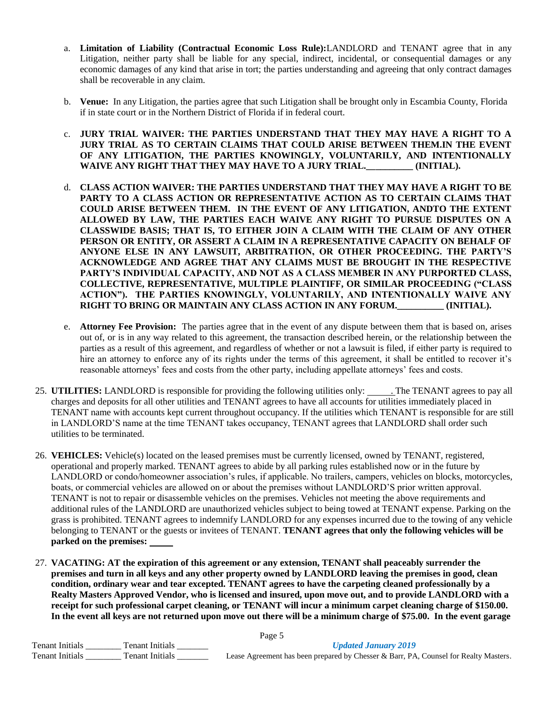- a. **Limitation of Liability (Contractual Economic Loss Rule):**LANDLORD and TENANT agree that in any Litigation, neither party shall be liable for any special, indirect, incidental, or consequential damages or any economic damages of any kind that arise in tort; the parties understanding and agreeing that only contract damages shall be recoverable in any claim.
- b. **Venue:** In any Litigation, the parties agree that such Litigation shall be brought only in Escambia County, Florida if in state court or in the Northern District of Florida if in federal court.
- c. **JURY TRIAL WAIVER: THE PARTIES UNDERSTAND THAT THEY MAY HAVE A RIGHT TO A JURY TRIAL AS TO CERTAIN CLAIMS THAT COULD ARISE BETWEEN THEM.IN THE EVENT OF ANY LITIGATION, THE PARTIES KNOWINGLY, VOLUNTARILY, AND INTENTIONALLY WAIVE ANY RIGHT THAT THEY MAY HAVE TO A JURY TRIAL.\_\_\_\_\_\_\_\_\_\_ (INITIAL).**
- d. **CLASS ACTION WAIVER: THE PARTIES UNDERSTAND THAT THEY MAY HAVE A RIGHT TO BE PARTY TO A CLASS ACTION OR REPRESENTATIVE ACTION AS TO CERTAIN CLAIMS THAT COULD ARISE BETWEEN THEM. IN THE EVENT OF ANY LITIGATION, ANDTO THE EXTENT ALLOWED BY LAW, THE PARTIES EACH WAIVE ANY RIGHT TO PURSUE DISPUTES ON A CLASSWIDE BASIS; THAT IS, TO EITHER JOIN A CLAIM WITH THE CLAIM OF ANY OTHER PERSON OR ENTITY, OR ASSERT A CLAIM IN A REPRESENTATIVE CAPACITY ON BEHALF OF ANYONE ELSE IN ANY LAWSUIT, ARBITRATION, OR OTHER PROCEEDING. THE PARTY'S ACKNOWLEDGE AND AGREE THAT ANY CLAIMS MUST BE BROUGHT IN THE RESPECTIVE PARTY'S INDIVIDUAL CAPACITY, AND NOT AS A CLASS MEMBER IN ANY PURPORTED CLASS, COLLECTIVE, REPRESENTATIVE, MULTIPLE PLAINTIFF, OR SIMILAR PROCEEDING ("CLASS ACTION"). THE PARTIES KNOWINGLY, VOLUNTARILY, AND INTENTIONALLY WAIVE ANY RIGHT TO BRING OR MAINTAIN ANY CLASS ACTION IN ANY FORUM.\_\_\_\_\_\_\_\_\_\_ (INITIAL).**
- e. **Attorney Fee Provision:** The parties agree that in the event of any dispute between them that is based on, arises out of, or is in any way related to this agreement, the transaction described herein, or the relationship between the parties as a result of this agreement, and regardless of whether or not a lawsuit is filed, if either party is required to hire an attorney to enforce any of its rights under the terms of this agreement, it shall be entitled to recover it's reasonable attorneys' fees and costs from the other party, including appellate attorneys' fees and costs.
- 25. **UTILITIES:** LANDLORD is responsible for providing the following utilities only: . The TENANT agrees to pay all charges and deposits for all other utilities and TENANT agrees to have all accounts for utilities immediately placed in TENANT name with accounts kept current throughout occupancy. If the utilities which TENANT is responsible for are still in LANDLORD'S name at the time TENANT takes occupancy, TENANT agrees that LANDLORD shall order such utilities to be terminated.
- 26. **VEHICLES:** Vehicle(s) located on the leased premises must be currently licensed, owned by TENANT, registered, operational and properly marked. TENANT agrees to abide by all parking rules established now or in the future by LANDLORD or condo/homeowner association's rules, if applicable. No trailers, campers, vehicles on blocks, motorcycles, boats, or commercial vehicles are allowed on or about the premises without LANDLORD'S prior written approval. TENANT is not to repair or disassemble vehicles on the premises. Vehicles not meeting the above requirements and additional rules of the LANDLORD are unauthorized vehicles subject to being towed at TENANT expense. Parking on the grass is prohibited. TENANT agrees to indemnify LANDLORD for any expenses incurred due to the towing of any vehicle belonging to TENANT or the guests or invitees of TENANT. **TENANT agrees that only the following vehicles will be parked on the premises:**
- 27. **VACATING: AT the expiration of this agreement or any extension, TENANT shall peaceably surrender the premises and turn in all keys and any other property owned by LANDLORD leaving the premises in good, clean condition, ordinary wear and tear excepted. TENANT agrees to have the carpeting cleaned professionally by a Realty Masters Approved Vendor, who is licensed and insured, upon move out, and to provide LANDLORD with a receipt for such professional carpet cleaning, or TENANT will incur a minimum carpet cleaning charge of \$150.00. In the event all keys are not returned upon move out there will be a minimum charge of \$75.00. In the event garage**

| Page 5                 |                        |                                                                                      |  |
|------------------------|------------------------|--------------------------------------------------------------------------------------|--|
| <b>Tenant Initials</b> | Tenant Initials        | <b>Updated January 2019</b>                                                          |  |
| <b>Tenant Initials</b> | <b>Tenant Initials</b> | Lease Agreement has been prepared by Chesser & Barr, PA, Counsel for Realty Masters. |  |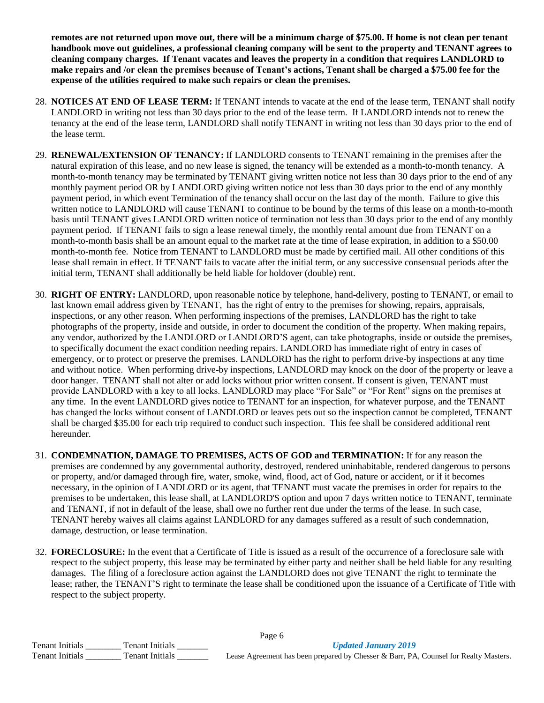**remotes are not returned upon move out, there will be a minimum charge of \$75.00. If home is not clean per tenant handbook move out guidelines, a professional cleaning company will be sent to the property and TENANT agrees to cleaning company charges. If Tenant vacates and leaves the property in a condition that requires LANDLORD to make repairs and /or clean the premises because of Tenant's actions, Tenant shall be charged a \$75.00 fee for the expense of the utilities required to make such repairs or clean the premises.**

- 28. **NOTICES AT END OF LEASE TERM:** If TENANT intends to vacate at the end of the lease term, TENANT shall notify LANDLORD in writing not less than 30 days prior to the end of the lease term. If LANDLORD intends not to renew the tenancy at the end of the lease term, LANDLORD shall notify TENANT in writing not less than 30 days prior to the end of the lease term.
- 29. **RENEWAL/EXTENSION OF TENANCY:** If LANDLORD consents to TENANT remaining in the premises after the natural expiration of this lease, and no new lease is signed, the tenancy will be extended as a month-to-month tenancy. A month-to-month tenancy may be terminated by TENANT giving written notice not less than 30 days prior to the end of any monthly payment period OR by LANDLORD giving written notice not less than 30 days prior to the end of any monthly payment period, in which event Termination of the tenancy shall occur on the last day of the month. Failure to give this written notice to LANDLORD will cause TENANT to continue to be bound by the terms of this lease on a month-to-month basis until TENANT gives LANDLORD written notice of termination not less than 30 days prior to the end of any monthly payment period. If TENANT fails to sign a lease renewal timely, the monthly rental amount due from TENANT on a month-to-month basis shall be an amount equal to the market rate at the time of lease expiration, in addition to a \$50.00 month-to-month fee. Notice from TENANT to LANDLORD must be made by certified mail. All other conditions of this lease shall remain in effect. If TENANT fails to vacate after the initial term, or any successive consensual periods after the initial term, TENANT shall additionally be held liable for holdover (double) rent.
- 30. **RIGHT OF ENTRY:** LANDLORD, upon reasonable notice by telephone, hand-delivery, posting to TENANT, or email to last known email address given by TENANT, has the right of entry to the premises for showing, repairs, appraisals, inspections, or any other reason. When performing inspections of the premises, LANDLORD has the right to take photographs of the property, inside and outside, in order to document the condition of the property. When making repairs, any vendor, authorized by the LANDLORD or LANDLORD'S agent, can take photographs, inside or outside the premises, to specifically document the exact condition needing repairs. LANDLORD has immediate right of entry in cases of emergency, or to protect or preserve the premises. LANDLORD has the right to perform drive-by inspections at any time and without notice. When performing drive-by inspections, LANDLORD may knock on the door of the property or leave a door hanger. TENANT shall not alter or add locks without prior written consent. If consent is given, TENANT must provide LANDLORD with a key to all locks. LANDLORD may place "For Sale" or "For Rent" signs on the premises at any time. In the event LANDLORD gives notice to TENANT for an inspection, for whatever purpose, and the TENANT has changed the locks without consent of LANDLORD or leaves pets out so the inspection cannot be completed, TENANT shall be charged \$35.00 for each trip required to conduct such inspection. This fee shall be considered additional rent hereunder.
- 31. **CONDEMNATION, DAMAGE TO PREMISES, ACTS OF GOD and TERMINATION:** If for any reason the premises are condemned by any governmental authority, destroyed, rendered uninhabitable, rendered dangerous to persons or property, and/or damaged through fire, water, smoke, wind, flood, act of God, nature or accident, or if it becomes necessary, in the opinion of LANDLORD or its agent, that TENANT must vacate the premises in order for repairs to the premises to be undertaken, this lease shall, at LANDLORD'S option and upon 7 days written notice to TENANT, terminate and TENANT, if not in default of the lease, shall owe no further rent due under the terms of the lease. In such case, TENANT hereby waives all claims against LANDLORD for any damages suffered as a result of such condemnation, damage, destruction, or lease termination.
- 32. **FORECLOSURE:** In the event that a Certificate of Title is issued as a result of the occurrence of a foreclosure sale with respect to the subject property, this lease may be terminated by either party and neither shall be held liable for any resulting damages. The filing of a foreclosure action against the LANDLORD does not give TENANT the right to terminate the lease; rather, the TENANT'S right to terminate the lease shall be conditioned upon the issuance of a Certificate of Title with respect to the subject property.

| Page 6                 |                 |                                                                                      |  |
|------------------------|-----------------|--------------------------------------------------------------------------------------|--|
| <b>Tenant Initials</b> | Fenant Initials | <b>Updated January 2019</b>                                                          |  |
| <b>Tenant Initials</b> | Tenant Initials | Lease Agreement has been prepared by Chesser & Barr, PA, Counsel for Realty Masters. |  |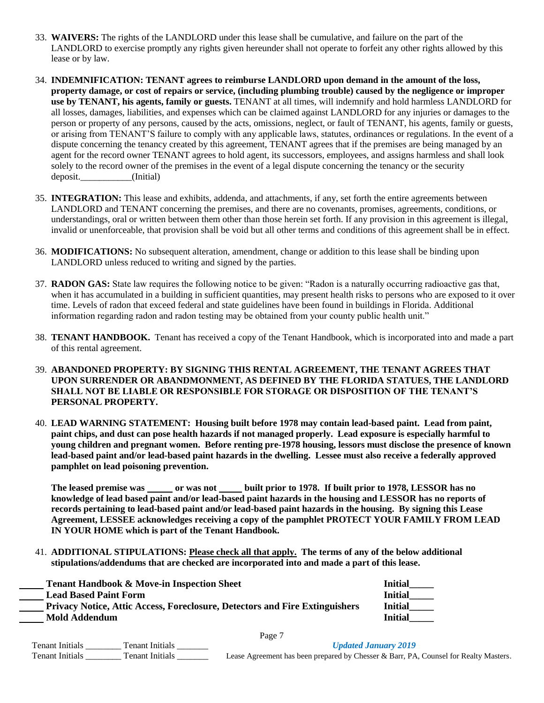- 33. **WAIVERS:** The rights of the LANDLORD under this lease shall be cumulative, and failure on the part of the LANDLORD to exercise promptly any rights given hereunder shall not operate to forfeit any other rights allowed by this lease or by law.
- 34. **INDEMNIFICATION: TENANT agrees to reimburse LANDLORD upon demand in the amount of the loss, property damage, or cost of repairs or service, (including plumbing trouble) caused by the negligence or improper use by TENANT, his agents, family or guests.** TENANT at all times, will indemnify and hold harmless LANDLORD for all losses, damages, liabilities, and expenses which can be claimed against LANDLORD for any injuries or damages to the person or property of any persons, caused by the acts, omissions, neglect, or fault of TENANT, his agents, family or guests, or arising from TENANT'S failure to comply with any applicable laws, statutes, ordinances or regulations. In the event of a dispute concerning the tenancy created by this agreement, TENANT agrees that if the premises are being managed by an agent for the record owner TENANT agrees to hold agent, its successors, employees, and assigns harmless and shall look solely to the record owner of the premises in the event of a legal dispute concerning the tenancy or the security deposit. (Initial)
- 35. **INTEGRATION:** This lease and exhibits, addenda, and attachments, if any, set forth the entire agreements between LANDLORD and TENANT concerning the premises, and there are no covenants, promises, agreements, conditions, or understandings, oral or written between them other than those herein set forth. If any provision in this agreement is illegal, invalid or unenforceable, that provision shall be void but all other terms and conditions of this agreement shall be in effect.
- 36. **MODIFICATIONS:** No subsequent alteration, amendment, change or addition to this lease shall be binding upon LANDLORD unless reduced to writing and signed by the parties.
- 37. **RADON GAS:** State law requires the following notice to be given: "Radon is a naturally occurring radioactive gas that, when it has accumulated in a building in sufficient quantities, may present health risks to persons who are exposed to it over time. Levels of radon that exceed federal and state guidelines have been found in buildings in Florida. Additional information regarding radon and radon testing may be obtained from your county public health unit."
- 38. **TENANT HANDBOOK.** Tenant has received a copy of the Tenant Handbook, which is incorporated into and made a part of this rental agreement.
- 39. **ABANDONED PROPERTY: BY SIGNING THIS RENTAL AGREEMENT, THE TENANT AGREES THAT UPON SURRENDER OR ABANDMONMENT, AS DEFINED BY THE FLORIDA STATUES, THE LANDLORD SHALL NOT BE LIABLE OR RESPONSIBLE FOR STORAGE OR DISPOSITION OF THE TENANT'S PERSONAL PROPERTY.**
- 40. **LEAD WARNING STATEMENT: Housing built before 1978 may contain lead-based paint. Lead from paint, paint chips, and dust can pose health hazards if not managed properly. Lead exposure is especially harmful to young children and pregnant women. Before renting pre-1978 housing, lessors must disclose the presence of known lead-based paint and/or lead-based paint hazards in the dwelling. Lessee must also receive a federally approved pamphlet on lead poisoning prevention.**

The leased premise was \_\_\_\_\_\_ or was not \_\_\_\_\_ built prior to 1978. If built prior to 1978, LESSOR has no **knowledge of lead based paint and/or lead-based paint hazards in the housing and LESSOR has no reports of records pertaining to lead-based paint and/or lead-based paint hazards in the housing. By signing this Lease Agreement, LESSEE acknowledges receiving a copy of the pamphlet PROTECT YOUR FAMILY FROM LEAD IN YOUR HOME which is part of the Tenant Handbook.**

41. **ADDITIONAL STIPULATIONS: Please check all that apply. The terms of any of the below additional stipulations/addendums that are checked are incorporated into and made a part of this lease.**

| <b>Tenant Handbook &amp; Move-in Inspection Sheet</b>                              | <b>Initial</b> |
|------------------------------------------------------------------------------------|----------------|
| <b>Lead Based Paint Form</b>                                                       | <b>Initial</b> |
| <b>Privacy Notice, Attic Access, Foreclosure, Detectors and Fire Extinguishers</b> | <b>Initial</b> |
| <b>Mold Addendum</b>                                                               | <b>Initial</b> |
|                                                                                    |                |

Page 7

| <b>Tenant Initials</b><br>Tenant Initials |                 | <b>Updated January 2019</b>                                                          |  |
|-------------------------------------------|-----------------|--------------------------------------------------------------------------------------|--|
| <b>Tenant Initials</b>                    | Tenant Initials | Lease Agreement has been prepared by Chesser & Barr, PA, Counsel for Realty Masters. |  |